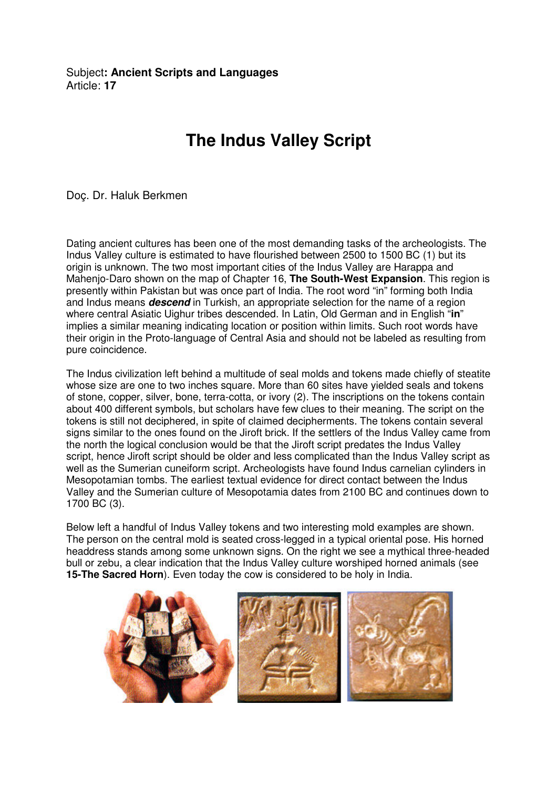Subject**: Ancient Scripts and Languages**  Article: **17**

## **The Indus Valley Script**

Doç. Dr. Haluk Berkmen

Dating ancient cultures has been one of the most demanding tasks of the archeologists. The Indus Valley culture is estimated to have flourished between 2500 to 1500 BC (1) but its origin is unknown. The two most important cities of the Indus Valley are Harappa and Mahenjo-Daro shown on the map of Chapter 16, **The South-West Expansion**. This region is presently within Pakistan but was once part of India. The root word "in" forming both India and Indus means **descend** in Turkish, an appropriate selection for the name of a region where central Asiatic Uighur tribes descended. In Latin, Old German and in English "**in**" implies a similar meaning indicating location or position within limits. Such root words have their origin in the Proto-language of Central Asia and should not be labeled as resulting from pure coincidence.

The Indus civilization left behind a multitude of seal molds and tokens made chiefly of steatite whose size are one to two inches square. More than 60 sites have yielded seals and tokens of stone, copper, silver, bone, terra-cotta, or ivory (2). The inscriptions on the tokens contain about 400 different symbols, but scholars have few clues to their meaning. The script on the tokens is still not deciphered, in spite of claimed decipherments. The tokens contain several signs similar to the ones found on the Jiroft brick. If the settlers of the Indus Valley came from the north the logical conclusion would be that the Jiroft script predates the Indus Valley script, hence Jiroft script should be older and less complicated than the Indus Valley script as well as the Sumerian cuneiform script. Archeologists have found Indus carnelian cylinders in Mesopotamian tombs. The earliest textual evidence for direct contact between the Indus Valley and the Sumerian culture of Mesopotamia dates from 2100 BC and continues down to 1700 BC (3).

Below left a handful of Indus Valley tokens and two interesting mold examples are shown. The person on the central mold is seated cross-legged in a typical oriental pose. His horned headdress stands among some unknown signs. On the right we see a mythical three-headed bull or zebu, a clear indication that the Indus Valley culture worshiped horned animals (see **15-The Sacred Horn**). Even today the cow is considered to be holy in India.

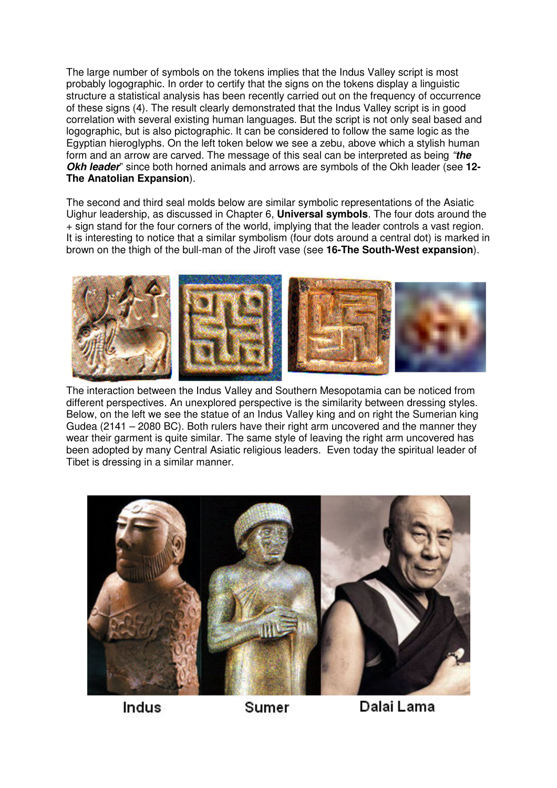The large number of symbols on the tokens implies that the Indus Valley script is most probably logographic. In order to certify that the signs on the tokens display a linguistic structure a statistical analysis has been recently carried out on the frequency of occurrence of these signs (4). The result clearly demonstrated that the Indus Valley script is in good correlation with several existing human languages. But the script is not only seal based and logographic, but is also pictographic. It can be considered to follow the same logic as the Egyptian hieroglyphs. On the left token below we see a zebu, above which a stylish human form and an arrow are carved. The message of this seal can be interpreted as being "**the Okh leader**" since both horned animals and arrows are symbols of the Okh leader (see **12- The Anatolian Expansion**).

The second and third seal molds below are similar symbolic representations of the Asiatic Uighur leadership, as discussed in Chapter 6, **Universal symbols**. The four dots around the + sign stand for the four corners of the world, implying that the leader controls a vast region. It is interesting to notice that a similar symbolism (four dots around a central dot) is marked in brown on the thigh of the bull-man of the Jiroft vase (see **16-The South-West expansion**).



The interaction between the Indus Valley and Southern Mesopotamia can be noticed from different perspectives. An unexplored perspective is the similarity between dressing styles. Below, on the left we see the statue of an Indus Valley king and on right the Sumerian king Gudea (2141 – 2080 BC). Both rulers have their right arm uncovered and the manner they wear their garment is quite similar. The same style of leaving the right arm uncovered has been adopted by many Central Asiatic religious leaders. Even today the spiritual leader of Tibet is dressing in a similar manner.



Indus

Sumer

Dalai Lama